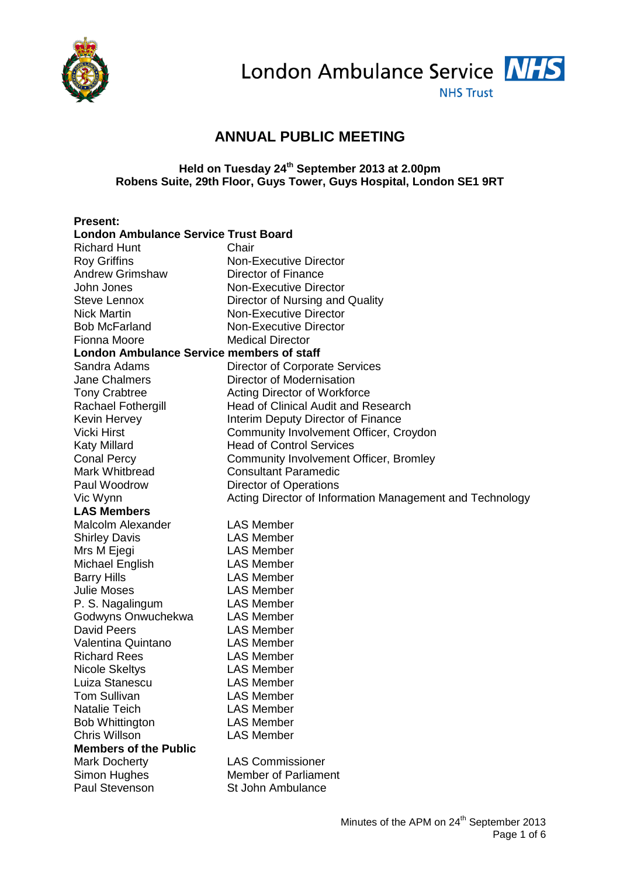

London Ambulance Service NHS

**NHS Trust** 

## **ANNUAL PUBLIC MEETING**

## **Held on Tuesday 24th September 2013 at 2.00pm Robens Suite, 29th Floor, Guys Tower, Guys Hospital, London SE1 9RT**

| <b>Present:</b>                                  |                                                          |
|--------------------------------------------------|----------------------------------------------------------|
| <b>London Ambulance Service Trust Board</b>      |                                                          |
| <b>Richard Hunt</b>                              | Chair                                                    |
| <b>Roy Griffins</b>                              | <b>Non-Executive Director</b>                            |
| <b>Andrew Grimshaw</b>                           | Director of Finance                                      |
| John Jones                                       | <b>Non-Executive Director</b>                            |
| <b>Steve Lennox</b>                              | Director of Nursing and Quality                          |
| <b>Nick Martin</b>                               | <b>Non-Executive Director</b>                            |
| <b>Bob McFarland</b>                             | <b>Non-Executive Director</b>                            |
| Fionna Moore                                     | <b>Medical Director</b>                                  |
| <b>London Ambulance Service members of staff</b> |                                                          |
| Sandra Adams                                     | <b>Director of Corporate Services</b>                    |
| <b>Jane Chalmers</b>                             | Director of Modernisation                                |
| <b>Tony Crabtree</b>                             | <b>Acting Director of Workforce</b>                      |
| Rachael Fothergill                               | <b>Head of Clinical Audit and Research</b>               |
| Kevin Hervey                                     | Interim Deputy Director of Finance                       |
| <b>Vicki Hirst</b>                               | Community Involvement Officer, Croydon                   |
| <b>Katy Millard</b>                              | <b>Head of Control Services</b>                          |
| <b>Conal Percy</b>                               | Community Involvement Officer, Bromley                   |
| Mark Whitbread                                   | <b>Consultant Paramedic</b>                              |
| Paul Woodrow                                     | Director of Operations                                   |
| Vic Wynn                                         | Acting Director of Information Management and Technology |
| <b>LAS Members</b>                               |                                                          |
| Malcolm Alexander                                | <b>LAS Member</b>                                        |
| <b>Shirley Davis</b>                             | <b>LAS Member</b>                                        |
| Mrs M Ejegi                                      | <b>LAS Member</b>                                        |
| Michael English                                  | <b>LAS Member</b>                                        |
| <b>Barry Hills</b>                               | <b>LAS Member</b>                                        |
| <b>Julie Moses</b>                               | <b>LAS Member</b>                                        |
| P. S. Nagalingum                                 | <b>LAS Member</b>                                        |
| Godwyns Onwuchekwa                               | <b>LAS Member</b>                                        |
| <b>David Peers</b>                               | <b>LAS Member</b>                                        |
| Valentina Quintano                               | <b>LAS Member</b>                                        |
| <b>Richard Rees</b>                              | <b>LAS Member</b>                                        |
| <b>Nicole Skeltys</b>                            | <b>LAS Member</b>                                        |
| Luiza Stanescu                                   | <b>LAS Member</b>                                        |
| Tom Sullivan                                     | <b>LAS Member</b>                                        |
| <b>Natalie Teich</b>                             | <b>LAS Member</b>                                        |
| <b>Bob Whittington</b>                           | <b>LAS Member</b>                                        |
| <b>Chris Willson</b>                             | <b>LAS Member</b>                                        |
| <b>Members of the Public</b>                     |                                                          |
| Mark Docherty                                    | <b>LAS Commissioner</b>                                  |
| Simon Hughes                                     | <b>Member of Parliament</b>                              |
| Paul Stevenson                                   | St John Ambulance                                        |
|                                                  |                                                          |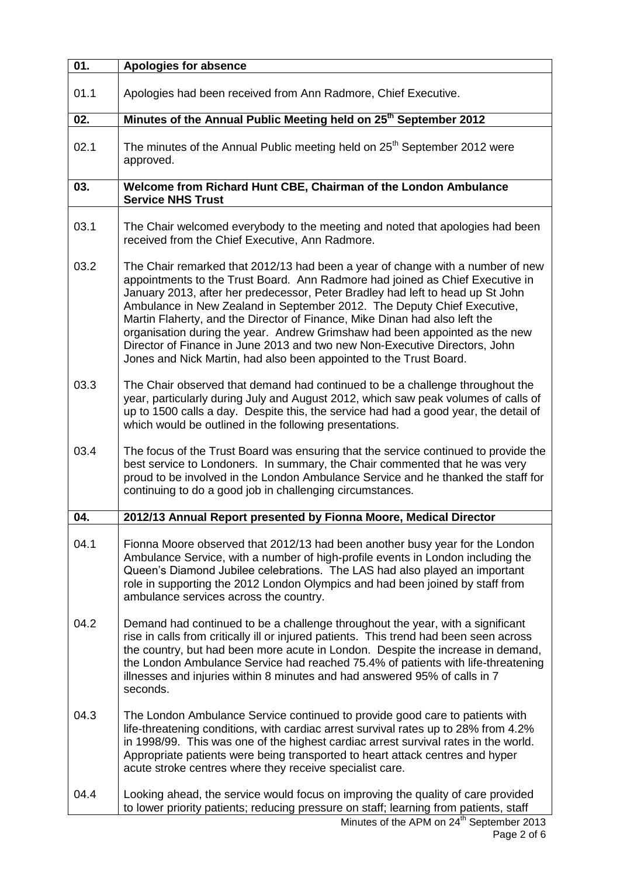| 01.  | <b>Apologies for absence</b>                                                                                                                                                                                                                                                                                                                                                                                                                                                                                                                                                                                                                  |
|------|-----------------------------------------------------------------------------------------------------------------------------------------------------------------------------------------------------------------------------------------------------------------------------------------------------------------------------------------------------------------------------------------------------------------------------------------------------------------------------------------------------------------------------------------------------------------------------------------------------------------------------------------------|
| 01.1 | Apologies had been received from Ann Radmore, Chief Executive.                                                                                                                                                                                                                                                                                                                                                                                                                                                                                                                                                                                |
| 02.  | Minutes of the Annual Public Meeting held on 25 <sup>th</sup> September 2012                                                                                                                                                                                                                                                                                                                                                                                                                                                                                                                                                                  |
| 02.1 | The minutes of the Annual Public meeting held on 25 <sup>th</sup> September 2012 were<br>approved.                                                                                                                                                                                                                                                                                                                                                                                                                                                                                                                                            |
| 03.  | Welcome from Richard Hunt CBE, Chairman of the London Ambulance<br><b>Service NHS Trust</b>                                                                                                                                                                                                                                                                                                                                                                                                                                                                                                                                                   |
| 03.1 | The Chair welcomed everybody to the meeting and noted that apologies had been<br>received from the Chief Executive, Ann Radmore.                                                                                                                                                                                                                                                                                                                                                                                                                                                                                                              |
| 03.2 | The Chair remarked that 2012/13 had been a year of change with a number of new<br>appointments to the Trust Board. Ann Radmore had joined as Chief Executive in<br>January 2013, after her predecessor, Peter Bradley had left to head up St John<br>Ambulance in New Zealand in September 2012. The Deputy Chief Executive,<br>Martin Flaherty, and the Director of Finance, Mike Dinan had also left the<br>organisation during the year. Andrew Grimshaw had been appointed as the new<br>Director of Finance in June 2013 and two new Non-Executive Directors, John<br>Jones and Nick Martin, had also been appointed to the Trust Board. |
| 03.3 | The Chair observed that demand had continued to be a challenge throughout the<br>year, particularly during July and August 2012, which saw peak volumes of calls of<br>up to 1500 calls a day. Despite this, the service had had a good year, the detail of<br>which would be outlined in the following presentations.                                                                                                                                                                                                                                                                                                                        |
| 03.4 | The focus of the Trust Board was ensuring that the service continued to provide the<br>best service to Londoners. In summary, the Chair commented that he was very<br>proud to be involved in the London Ambulance Service and he thanked the staff for<br>continuing to do a good job in challenging circumstances.                                                                                                                                                                                                                                                                                                                          |
| 04.  | 2012/13 Annual Report presented by Fionna Moore, Medical Director                                                                                                                                                                                                                                                                                                                                                                                                                                                                                                                                                                             |
| 04.1 | Fionna Moore observed that 2012/13 had been another busy year for the London<br>Ambulance Service, with a number of high-profile events in London including the<br>Queen's Diamond Jubilee celebrations. The LAS had also played an important<br>role in supporting the 2012 London Olympics and had been joined by staff from<br>ambulance services across the country.                                                                                                                                                                                                                                                                      |
| 04.2 | Demand had continued to be a challenge throughout the year, with a significant<br>rise in calls from critically ill or injured patients. This trend had been seen across<br>the country, but had been more acute in London. Despite the increase in demand,<br>the London Ambulance Service had reached 75.4% of patients with life-threatening<br>illnesses and injuries within 8 minutes and had answered 95% of calls in 7<br>seconds.                                                                                                                                                                                                     |
| 04.3 | The London Ambulance Service continued to provide good care to patients with<br>life-threatening conditions, with cardiac arrest survival rates up to 28% from 4.2%<br>in 1998/99. This was one of the highest cardiac arrest survival rates in the world.<br>Appropriate patients were being transported to heart attack centres and hyper<br>acute stroke centres where they receive specialist care.                                                                                                                                                                                                                                       |
| 04.4 | Looking ahead, the service would focus on improving the quality of care provided<br>to lower priority patients; reducing pressure on staff; learning from patients, staff                                                                                                                                                                                                                                                                                                                                                                                                                                                                     |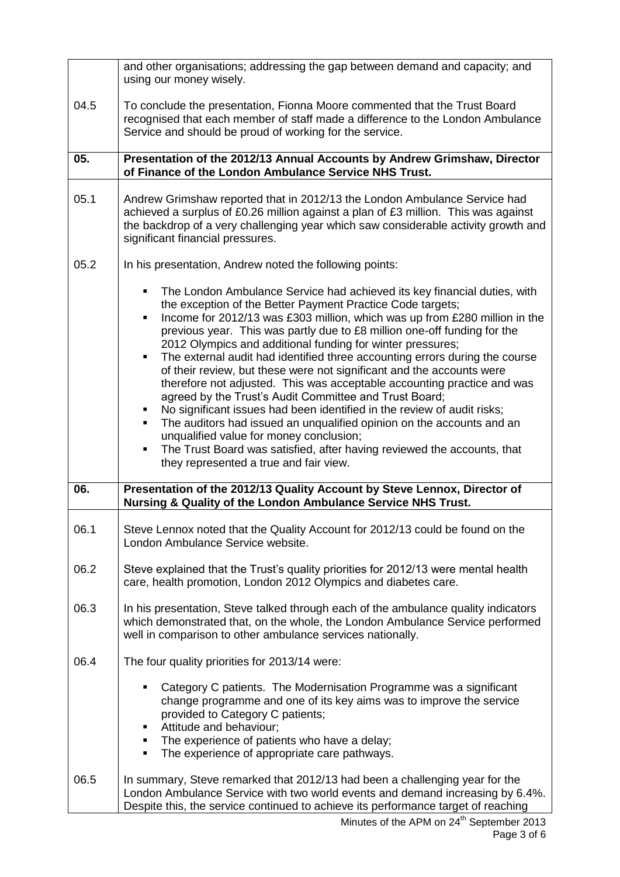|      | and other organisations; addressing the gap between demand and capacity; and<br>using our money wisely.                                                                                                                                                                                                                                                                                                                                                                                                                                                                                                                                                                                                                                                                                                                                                                                                                                                                                   |
|------|-------------------------------------------------------------------------------------------------------------------------------------------------------------------------------------------------------------------------------------------------------------------------------------------------------------------------------------------------------------------------------------------------------------------------------------------------------------------------------------------------------------------------------------------------------------------------------------------------------------------------------------------------------------------------------------------------------------------------------------------------------------------------------------------------------------------------------------------------------------------------------------------------------------------------------------------------------------------------------------------|
| 04.5 | To conclude the presentation, Fionna Moore commented that the Trust Board<br>recognised that each member of staff made a difference to the London Ambulance<br>Service and should be proud of working for the service.                                                                                                                                                                                                                                                                                                                                                                                                                                                                                                                                                                                                                                                                                                                                                                    |
| 05.  | Presentation of the 2012/13 Annual Accounts by Andrew Grimshaw, Director<br>of Finance of the London Ambulance Service NHS Trust.                                                                                                                                                                                                                                                                                                                                                                                                                                                                                                                                                                                                                                                                                                                                                                                                                                                         |
| 05.1 | Andrew Grimshaw reported that in 2012/13 the London Ambulance Service had<br>achieved a surplus of £0.26 million against a plan of £3 million. This was against<br>the backdrop of a very challenging year which saw considerable activity growth and<br>significant financial pressures.                                                                                                                                                                                                                                                                                                                                                                                                                                                                                                                                                                                                                                                                                                 |
| 05.2 | In his presentation, Andrew noted the following points:                                                                                                                                                                                                                                                                                                                                                                                                                                                                                                                                                                                                                                                                                                                                                                                                                                                                                                                                   |
|      | The London Ambulance Service had achieved its key financial duties, with<br>the exception of the Better Payment Practice Code targets;<br>Income for 2012/13 was £303 million, which was up from £280 million in the<br>٠<br>previous year. This was partly due to £8 million one-off funding for the<br>2012 Olympics and additional funding for winter pressures;<br>The external audit had identified three accounting errors during the course<br>٠<br>of their review, but these were not significant and the accounts were<br>therefore not adjusted. This was acceptable accounting practice and was<br>agreed by the Trust's Audit Committee and Trust Board;<br>No significant issues had been identified in the review of audit risks;<br>The auditors had issued an unqualified opinion on the accounts and an<br>unqualified value for money conclusion;<br>The Trust Board was satisfied, after having reviewed the accounts, that<br>they represented a true and fair view. |
| 06.  | Presentation of the 2012/13 Quality Account by Steve Lennox, Director of<br>Nursing & Quality of the London Ambulance Service NHS Trust.                                                                                                                                                                                                                                                                                                                                                                                                                                                                                                                                                                                                                                                                                                                                                                                                                                                  |
| 06.1 | Steve Lennox noted that the Quality Account for 2012/13 could be found on the<br>London Ambulance Service website.                                                                                                                                                                                                                                                                                                                                                                                                                                                                                                                                                                                                                                                                                                                                                                                                                                                                        |
| 06.2 | Steve explained that the Trust's quality priorities for 2012/13 were mental health<br>care, health promotion, London 2012 Olympics and diabetes care.                                                                                                                                                                                                                                                                                                                                                                                                                                                                                                                                                                                                                                                                                                                                                                                                                                     |
| 06.3 | In his presentation, Steve talked through each of the ambulance quality indicators<br>which demonstrated that, on the whole, the London Ambulance Service performed<br>well in comparison to other ambulance services nationally.                                                                                                                                                                                                                                                                                                                                                                                                                                                                                                                                                                                                                                                                                                                                                         |
| 06.4 | The four quality priorities for 2013/14 were:                                                                                                                                                                                                                                                                                                                                                                                                                                                                                                                                                                                                                                                                                                                                                                                                                                                                                                                                             |
|      | Category C patients. The Modernisation Programme was a significant<br>change programme and one of its key aims was to improve the service<br>provided to Category C patients;<br>Attitude and behaviour;<br>The experience of patients who have a delay;<br>The experience of appropriate care pathways.                                                                                                                                                                                                                                                                                                                                                                                                                                                                                                                                                                                                                                                                                  |
| 06.5 | In summary, Steve remarked that 2012/13 had been a challenging year for the<br>London Ambulance Service with two world events and demand increasing by 6.4%.<br>Despite this, the service continued to achieve its performance target of reaching                                                                                                                                                                                                                                                                                                                                                                                                                                                                                                                                                                                                                                                                                                                                         |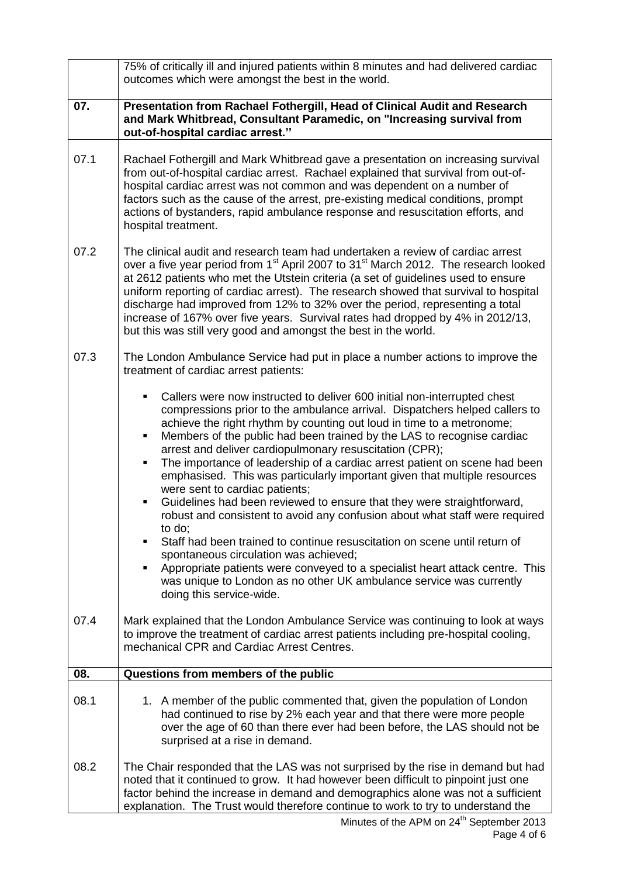|      | 75% of critically ill and injured patients within 8 minutes and had delivered cardiac<br>outcomes which were amongst the best in the world.                                                                                                                                                                                                                                                                                                                                                                                                                                                                                                                                                                                                                                                                                                                                                                                                                                                                                                             |
|------|---------------------------------------------------------------------------------------------------------------------------------------------------------------------------------------------------------------------------------------------------------------------------------------------------------------------------------------------------------------------------------------------------------------------------------------------------------------------------------------------------------------------------------------------------------------------------------------------------------------------------------------------------------------------------------------------------------------------------------------------------------------------------------------------------------------------------------------------------------------------------------------------------------------------------------------------------------------------------------------------------------------------------------------------------------|
| 07.  | Presentation from Rachael Fothergill, Head of Clinical Audit and Research<br>and Mark Whitbread, Consultant Paramedic, on "Increasing survival from<br>out-of-hospital cardiac arrest."                                                                                                                                                                                                                                                                                                                                                                                                                                                                                                                                                                                                                                                                                                                                                                                                                                                                 |
| 07.1 | Rachael Fothergill and Mark Whitbread gave a presentation on increasing survival<br>from out-of-hospital cardiac arrest. Rachael explained that survival from out-of-<br>hospital cardiac arrest was not common and was dependent on a number of<br>factors such as the cause of the arrest, pre-existing medical conditions, prompt<br>actions of bystanders, rapid ambulance response and resuscitation efforts, and<br>hospital treatment.                                                                                                                                                                                                                                                                                                                                                                                                                                                                                                                                                                                                           |
| 07.2 | The clinical audit and research team had undertaken a review of cardiac arrest<br>over a five year period from 1 <sup>st</sup> April 2007 to 31 <sup>st</sup> March 2012. The research looked<br>at 2612 patients who met the Utstein criteria (a set of guidelines used to ensure<br>uniform reporting of cardiac arrest). The research showed that survival to hospital<br>discharge had improved from 12% to 32% over the period, representing a total<br>increase of 167% over five years. Survival rates had dropped by 4% in 2012/13,<br>but this was still very good and amongst the best in the world.                                                                                                                                                                                                                                                                                                                                                                                                                                          |
| 07.3 | The London Ambulance Service had put in place a number actions to improve the<br>treatment of cardiac arrest patients:                                                                                                                                                                                                                                                                                                                                                                                                                                                                                                                                                                                                                                                                                                                                                                                                                                                                                                                                  |
|      | Callers were now instructed to deliver 600 initial non-interrupted chest<br>compressions prior to the ambulance arrival. Dispatchers helped callers to<br>achieve the right rhythm by counting out loud in time to a metronome;<br>Members of the public had been trained by the LAS to recognise cardiac<br>arrest and deliver cardiopulmonary resuscitation (CPR);<br>The importance of leadership of a cardiac arrest patient on scene had been<br>٠<br>emphasised. This was particularly important given that multiple resources<br>were sent to cardiac patients;<br>Guidelines had been reviewed to ensure that they were straightforward,<br>robust and consistent to avoid any confusion about what staff were required<br>to do;<br>Staff had been trained to continue resuscitation on scene until return of<br>spontaneous circulation was achieved;<br>Appropriate patients were conveyed to a specialist heart attack centre. This<br>٠<br>was unique to London as no other UK ambulance service was currently<br>doing this service-wide. |
| 07.4 | Mark explained that the London Ambulance Service was continuing to look at ways<br>to improve the treatment of cardiac arrest patients including pre-hospital cooling,<br>mechanical CPR and Cardiac Arrest Centres.                                                                                                                                                                                                                                                                                                                                                                                                                                                                                                                                                                                                                                                                                                                                                                                                                                    |
| 08.  | Questions from members of the public                                                                                                                                                                                                                                                                                                                                                                                                                                                                                                                                                                                                                                                                                                                                                                                                                                                                                                                                                                                                                    |
| 08.1 | 1. A member of the public commented that, given the population of London<br>had continued to rise by 2% each year and that there were more people<br>over the age of 60 than there ever had been before, the LAS should not be<br>surprised at a rise in demand.                                                                                                                                                                                                                                                                                                                                                                                                                                                                                                                                                                                                                                                                                                                                                                                        |
| 08.2 | The Chair responded that the LAS was not surprised by the rise in demand but had<br>noted that it continued to grow. It had however been difficult to pinpoint just one<br>factor behind the increase in demand and demographics alone was not a sufficient<br>explanation. The Trust would therefore continue to work to try to understand the                                                                                                                                                                                                                                                                                                                                                                                                                                                                                                                                                                                                                                                                                                         |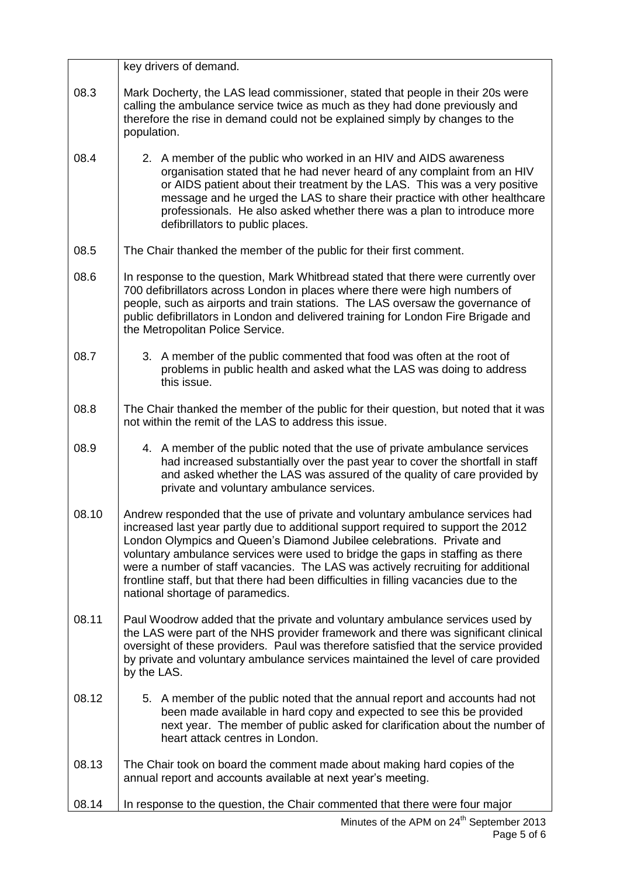|       | key drivers of demand.                                                                                                                                                                                                                                                                                                                                                                                                                                                                                                                         |
|-------|------------------------------------------------------------------------------------------------------------------------------------------------------------------------------------------------------------------------------------------------------------------------------------------------------------------------------------------------------------------------------------------------------------------------------------------------------------------------------------------------------------------------------------------------|
| 08.3  | Mark Docherty, the LAS lead commissioner, stated that people in their 20s were<br>calling the ambulance service twice as much as they had done previously and<br>therefore the rise in demand could not be explained simply by changes to the<br>population.                                                                                                                                                                                                                                                                                   |
| 08.4  | 2. A member of the public who worked in an HIV and AIDS awareness<br>organisation stated that he had never heard of any complaint from an HIV<br>or AIDS patient about their treatment by the LAS. This was a very positive<br>message and he urged the LAS to share their practice with other healthcare<br>professionals. He also asked whether there was a plan to introduce more<br>defibrillators to public places.                                                                                                                       |
| 08.5  | The Chair thanked the member of the public for their first comment.                                                                                                                                                                                                                                                                                                                                                                                                                                                                            |
| 08.6  | In response to the question, Mark Whitbread stated that there were currently over<br>700 defibrillators across London in places where there were high numbers of<br>people, such as airports and train stations. The LAS oversaw the governance of<br>public defibrillators in London and delivered training for London Fire Brigade and<br>the Metropolitan Police Service.                                                                                                                                                                   |
| 08.7  | 3. A member of the public commented that food was often at the root of<br>problems in public health and asked what the LAS was doing to address<br>this issue.                                                                                                                                                                                                                                                                                                                                                                                 |
| 08.8  | The Chair thanked the member of the public for their question, but noted that it was<br>not within the remit of the LAS to address this issue.                                                                                                                                                                                                                                                                                                                                                                                                 |
| 08.9  | 4. A member of the public noted that the use of private ambulance services<br>had increased substantially over the past year to cover the shortfall in staff<br>and asked whether the LAS was assured of the quality of care provided by<br>private and voluntary ambulance services.                                                                                                                                                                                                                                                          |
| 08.10 | Andrew responded that the use of private and voluntary ambulance services had<br>increased last year partly due to additional support required to support the 2012<br>London Olympics and Queen's Diamond Jubilee celebrations. Private and<br>voluntary ambulance services were used to bridge the gaps in staffing as there<br>were a number of staff vacancies. The LAS was actively recruiting for additional<br>frontline staff, but that there had been difficulties in filling vacancies due to the<br>national shortage of paramedics. |
| 08.11 | Paul Woodrow added that the private and voluntary ambulance services used by<br>the LAS were part of the NHS provider framework and there was significant clinical<br>oversight of these providers. Paul was therefore satisfied that the service provided<br>by private and voluntary ambulance services maintained the level of care provided<br>by the LAS.                                                                                                                                                                                 |
| 08.12 | 5. A member of the public noted that the annual report and accounts had not<br>been made available in hard copy and expected to see this be provided<br>next year. The member of public asked for clarification about the number of<br>heart attack centres in London.                                                                                                                                                                                                                                                                         |
| 08.13 | The Chair took on board the comment made about making hard copies of the<br>annual report and accounts available at next year's meeting.                                                                                                                                                                                                                                                                                                                                                                                                       |
| 08.14 | In response to the question, the Chair commented that there were four major                                                                                                                                                                                                                                                                                                                                                                                                                                                                    |